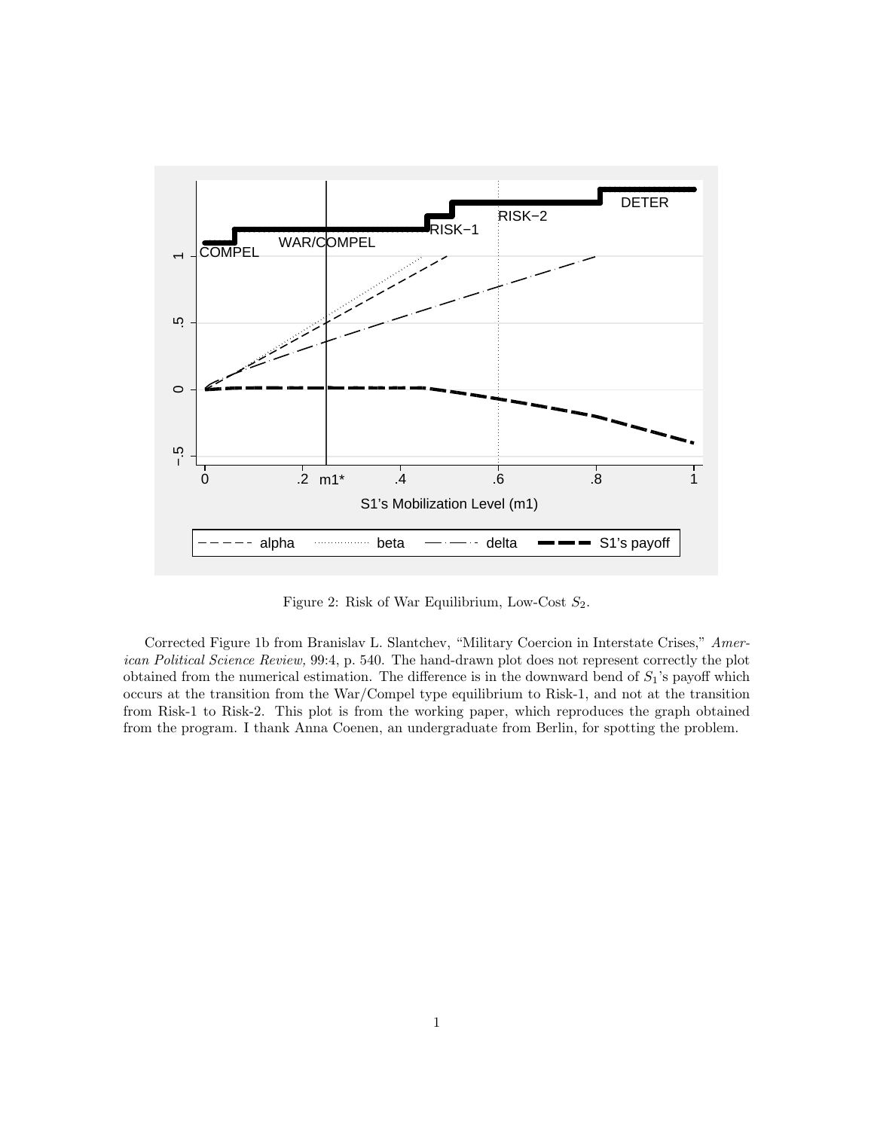

Figure 2: Risk of War Equilibrium, Low-Cost  $S_2$ .

Corrected Figure 1b from Branislav L. Slantchev, "Military Coercion in Interstate Crises," American Political Science Review, 99:4, p. 540. The hand-drawn plot does not represent correctly the plot obtained from the numerical estimation. The difference is in the downward bend of  $S_1$ 's payoff which occurs at the transition from the War/Compel type equilibrium to Risk-1, and not at the transition from Risk-1 to Risk-2. This plot is from the working paper, which reproduces the graph obtained from the program. I thank Anna Coenen, an undergraduate from Berlin, for spotting the problem.